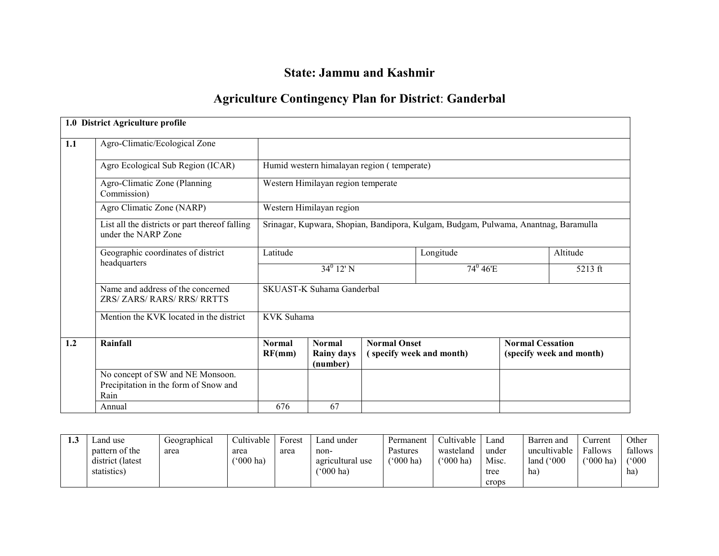## State: Jammu and Kashmir

## Agriculture Contingency Plan for District: Ganderbal

|     | 1.0 District Agriculture profile                                                  |                         |                                                                                     |                     |                           |                         |                          |
|-----|-----------------------------------------------------------------------------------|-------------------------|-------------------------------------------------------------------------------------|---------------------|---------------------------|-------------------------|--------------------------|
| 1.1 | Agro-Climatic/Ecological Zone                                                     |                         |                                                                                     |                     |                           |                         |                          |
|     | Agro Ecological Sub Region (ICAR)                                                 |                         | Humid western himalayan region (temperate)                                          |                     |                           |                         |                          |
|     | Agro-Climatic Zone (Planning<br>Commission)                                       |                         | Western Himilayan region temperate                                                  |                     |                           |                         |                          |
|     | Agro Climatic Zone (NARP)                                                         |                         | Western Himilayan region                                                            |                     |                           |                         |                          |
|     | List all the districts or part thereof falling<br>under the NARP Zone             |                         | Srinagar, Kupwara, Shopian, Bandipora, Kulgam, Budgam, Pulwama, Anantnag, Baramulla |                     |                           |                         |                          |
|     | Geographic coordinates of district<br>headquarters                                | Latitude                |                                                                                     |                     | Longitude                 |                         | Altitude                 |
|     |                                                                                   | $34^0$ 12' N            |                                                                                     |                     | $74^{\circ} 46^{\circ}$ E |                         | 5213 ft                  |
|     | Name and address of the concerned<br>ZRS/ ZARS/ RARS/ RRS/ RRTTS                  |                         | <b>SKUAST-K Suhama Ganderbal</b>                                                    |                     |                           |                         |                          |
|     | Mention the KVK located in the district                                           | <b>KVK</b> Suhama       |                                                                                     |                     |                           |                         |                          |
| 1.2 | Rainfall                                                                          | <b>Normal</b><br>RF(mm) | <b>Normal</b><br><b>Rainy days</b><br>(number)                                      | <b>Normal Onset</b> | (specify week and month)  | <b>Normal Cessation</b> | (specify week and month) |
|     | No concept of SW and NE Monsoon.<br>Precipitation in the form of Snow and<br>Rain |                         |                                                                                     |                     |                           |                         |                          |
|     | Annual                                                                            | 676                     | 67                                                                                  |                     |                           |                         |                          |

| ن. 1 | and use∟          | Geographical | Cultivable         | Forest | Land under               | Permanent                | Cultivable         | Land  | Barren and          | Current   | Other   |
|------|-------------------|--------------|--------------------|--------|--------------------------|--------------------------|--------------------|-------|---------------------|-----------|---------|
|      | pattern of the    | area         | area               | area   | non-                     | Pastures                 | wasteland          | under | uncultivable        | Fallows   | fallows |
|      | district (latest) |              | $(000 \text{ ha})$ |        | agricultural use         | $^{\prime\prime}000$ ha) | $(000 \text{ ha})$ | Misc. | land $(^{\circ}000$ | ('000 ha) | ('000   |
|      | statistics)       |              |                    |        | $^{\prime\prime}000$ ha) |                          |                    | tree  | ha)                 |           | ha)     |
|      |                   |              |                    |        |                          |                          |                    | crops |                     |           |         |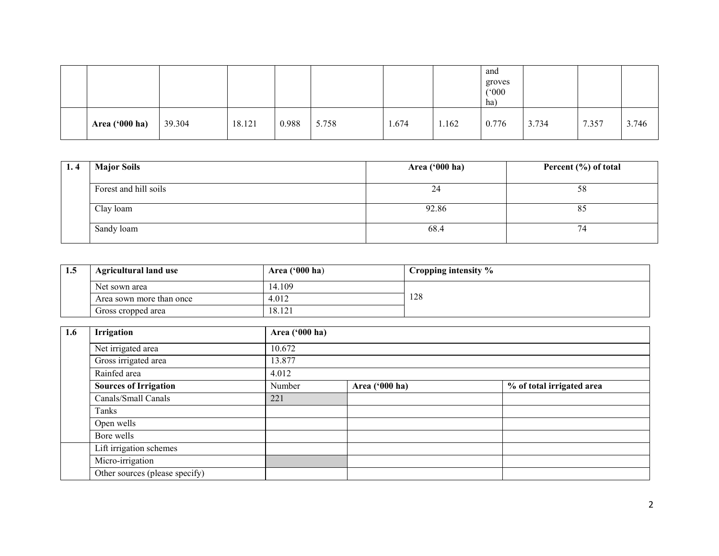|                |        |        |       |       |       |       | and<br>groves<br>(°000)<br>ha) |       |       |       |
|----------------|--------|--------|-------|-------|-------|-------|--------------------------------|-------|-------|-------|
| Area ('000 ha) | 39.304 | 18.121 | 0.988 | 5.758 | 1.674 | 1.162 | 0.776                          | 3.734 | 7.357 | 3.746 |

| 1.4 | <b>Major Soils</b>    | Area ('000 ha) | Percent (%) of total |
|-----|-----------------------|----------------|----------------------|
|     | Forest and hill soils | 24             | 58                   |
|     | Clay loam             | 92.86          | 85                   |
|     | Sandy loam            | 68.4           | 4                    |

| 1.5 | <b>Agricultural land use</b> | Area $('000 ha)$ | $\blacksquare$ Cropping intensity $\%$ |  |
|-----|------------------------------|------------------|----------------------------------------|--|
|     | Net sown area                | 14.109           |                                        |  |
|     | Area sown more than once     | 4.012            | 128                                    |  |
|     | Gross cropped area           | 18.121           |                                        |  |

| 1.6 | Irrigation                     | Area ('000 ha) |                |                           |
|-----|--------------------------------|----------------|----------------|---------------------------|
|     | Net irrigated area             | 10.672         |                |                           |
|     | Gross irrigated area           | 13.877         |                |                           |
|     | Rainfed area                   | 4.012          |                |                           |
|     | <b>Sources of Irrigation</b>   | Number         | Area ('000 ha) | % of total irrigated area |
|     | Canals/Small Canals            | 221            |                |                           |
|     | Tanks                          |                |                |                           |
|     | Open wells                     |                |                |                           |
|     | Bore wells                     |                |                |                           |
|     | Lift irrigation schemes        |                |                |                           |
|     | Micro-irrigation               |                |                |                           |
|     | Other sources (please specify) |                |                |                           |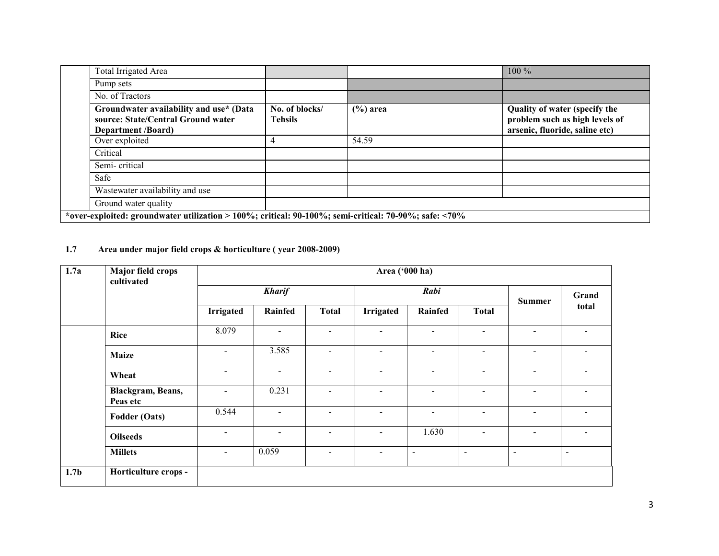| Total Irrigated Area                                                                                              |                                  |             | $100\%$                                                                                           |
|-------------------------------------------------------------------------------------------------------------------|----------------------------------|-------------|---------------------------------------------------------------------------------------------------|
| Pump sets                                                                                                         |                                  |             |                                                                                                   |
| No. of Tractors                                                                                                   |                                  |             |                                                                                                   |
| Groundwater availability and use* (Data<br>source: State/Central Ground water<br><b>Department</b> <i>(Board)</i> | No. of blocks/<br><b>Tehsils</b> | $(\%)$ area | Quality of water (specify the<br>problem such as high levels of<br>arsenic, fluoride, saline etc) |
| Over exploited                                                                                                    | 4                                | 54.59       |                                                                                                   |
| Critical                                                                                                          |                                  |             |                                                                                                   |
| Semi-critical                                                                                                     |                                  |             |                                                                                                   |
| Safe                                                                                                              |                                  |             |                                                                                                   |
| Wastewater availability and use                                                                                   |                                  |             |                                                                                                   |
| Ground water quality                                                                                              |                                  |             |                                                                                                   |
| *over-exploited: groundwater utilization > 100%; critical: $90-100\%$ ; semi-critical: 70-90%; safe: <70%         |                                  |             |                                                                                                   |

#### 1.7 Area under major field crops & horticulture ( year 2008-2009)

| 1.7a             | Major field crops<br>cultivated |                          |                          |                          | Area ('000 ha)   |                          |                          |                              |                          |
|------------------|---------------------------------|--------------------------|--------------------------|--------------------------|------------------|--------------------------|--------------------------|------------------------------|--------------------------|
|                  |                                 | <b>Kharif</b>            |                          | Rabi                     |                  |                          | <b>Summer</b>            | Grand                        |                          |
|                  |                                 | <b>Irrigated</b>         | Rainfed                  | <b>Total</b>             | <b>Irrigated</b> | Rainfed                  | <b>Total</b>             |                              | total                    |
|                  | <b>Rice</b>                     | 8.079                    | Ξ.                       | $\sim$                   | $\blacksquare$   | $\blacksquare$           | $\overline{\phantom{a}}$ | $\blacksquare$               | $\overline{\phantom{a}}$ |
|                  | <b>Maize</b>                    | $\overline{\phantom{a}}$ | 3.585                    | $\blacksquare$           | $\sim$           | $\sim$                   | $\sim$                   | $\overline{\phantom{a}}$     | $\blacksquare$           |
|                  | Wheat                           | $\blacksquare$           | ۰                        | $\overline{\phantom{0}}$ | $\blacksquare$   | $\sim$                   | $\overline{\phantom{0}}$ | $\overline{\phantom{a}}$     |                          |
|                  | Blackgram, Beans,<br>Peas etc   | $\overline{\phantom{a}}$ | 0.231                    | $\blacksquare$           | -                | $\sim$                   | $\blacksquare$           | $\sim$                       | $\overline{\phantom{0}}$ |
|                  | Fodder (Oats)                   | 0.544                    | $\overline{\phantom{0}}$ | $\blacksquare$           | $\sim$           | $\blacksquare$           | $\blacksquare$           | $\blacksquare$               | $\blacksquare$           |
|                  | <b>Oilseeds</b>                 | $\overline{\phantom{a}}$ | -                        | $\overline{\phantom{a}}$ | $\blacksquare$   | 1.630                    | $\overline{\phantom{a}}$ | $\sim$                       | $\overline{\phantom{0}}$ |
|                  | <b>Millets</b>                  | $\blacksquare$           | 0.059                    | $\overline{\phantom{a}}$ | $\sim$           | $\overline{\phantom{a}}$ | $\overline{\phantom{0}}$ | $\qquad \qquad \blacksquare$ | $\overline{\phantom{0}}$ |
| 1.7 <sub>b</sub> | Horticulture crops -            |                          |                          |                          |                  |                          |                          |                              |                          |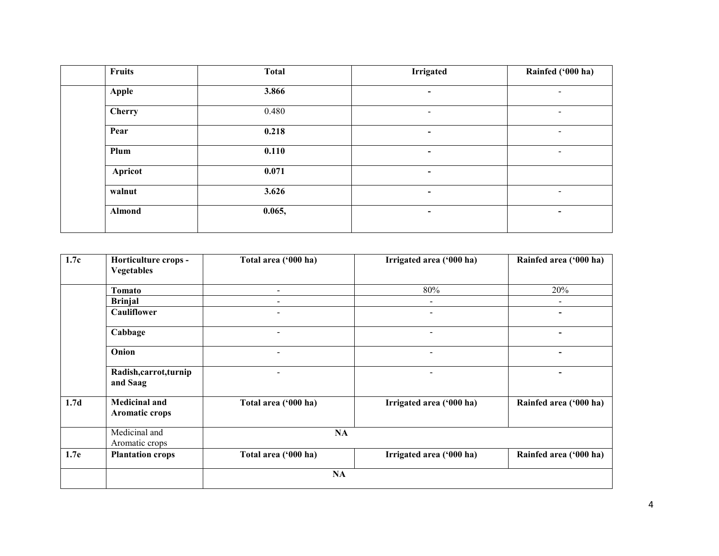| <b>Fruits</b> | <b>Total</b> | <b>Irrigated</b>         | Rainfed ('000 ha)        |
|---------------|--------------|--------------------------|--------------------------|
| Apple         | 3.866        | $\overline{\phantom{a}}$ |                          |
| <b>Cherry</b> | 0.480        |                          |                          |
| Pear          | 0.218        | $\overline{\phantom{a}}$ | $\overline{\phantom{0}}$ |
| Plum          | 0.110        | $\overline{\phantom{0}}$ | $\overline{\phantom{a}}$ |
| Apricot       | 0.071        | $\overline{\phantom{a}}$ |                          |
| walnut        | 3.626        | $\blacksquare$           | $\overline{\phantom{a}}$ |
| Almond        | 0.065,       | $\blacksquare$           | $\blacksquare$           |

| 1.7c             | Horticulture crops -                          | Total area ('000 ha)     | Irrigated area ('000 ha) | Rainfed area ('000 ha) |
|------------------|-----------------------------------------------|--------------------------|--------------------------|------------------------|
|                  | <b>Vegetables</b>                             |                          |                          |                        |
|                  | Tomato                                        |                          | $80\%$                   | 20%                    |
|                  | <b>Brinjal</b>                                |                          | $\overline{\phantom{0}}$ |                        |
|                  | Cauliflower                                   |                          | $\overline{\phantom{0}}$ |                        |
|                  | Cabbage                                       |                          | $\overline{\phantom{0}}$ |                        |
|                  | Onion                                         | $\overline{\phantom{a}}$ | $\overline{\phantom{0}}$ |                        |
|                  | Radish,carrot,turnip<br>and Saag              |                          |                          |                        |
| 1.7 <sub>d</sub> | <b>Medicinal and</b><br><b>Aromatic crops</b> | Total area ('000 ha)     | Irrigated area ('000 ha) | Rainfed area ('000 ha) |
|                  | Medicinal and<br>Aromatic crops               | NA                       |                          |                        |
| 1.7e             | <b>Plantation crops</b>                       | Total area ('000 ha)     | Irrigated area ('000 ha) | Rainfed area ('000 ha) |
|                  |                                               | NA                       |                          |                        |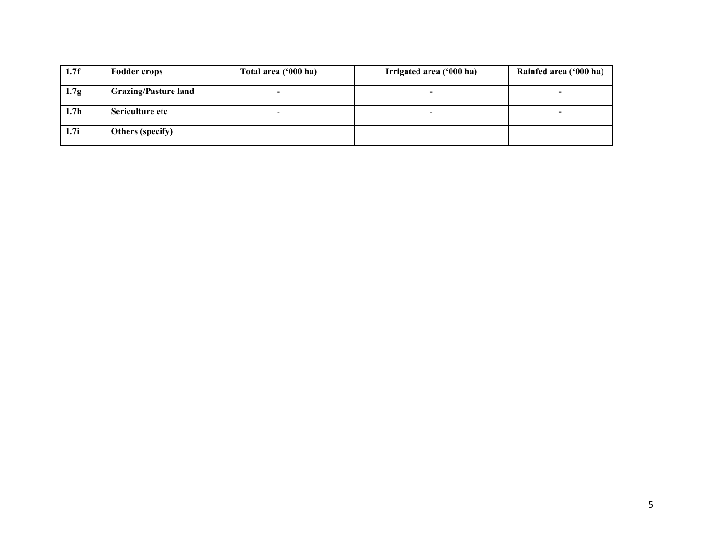| 1.7f             | <b>Fodder crops</b>         | Total area ('000 ha)     | Irrigated area ('000 ha) | Rainfed area ('000 ha)   |
|------------------|-----------------------------|--------------------------|--------------------------|--------------------------|
| 1.7 <sub>g</sub> | <b>Grazing/Pasture land</b> | $\overline{\phantom{0}}$ |                          |                          |
| 1.7 <sub>h</sub> | Sericulture etc             | $\overline{\phantom{0}}$ | $\overline{\phantom{a}}$ | $\overline{\phantom{0}}$ |
| 1.7i             | Others (specify)            |                          |                          |                          |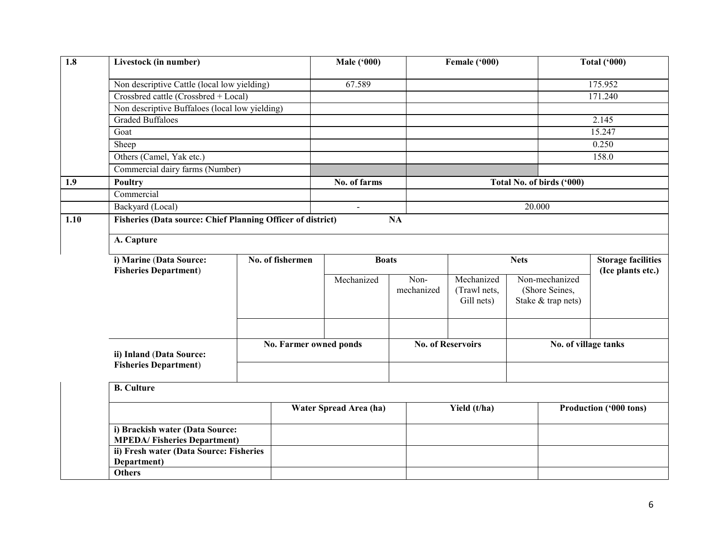| 1.8  | Livestock (in number)                                                 |  |                                  | <b>Male ('000)</b>     |                    | Female ('000)                            |        |                                                        | <b>Total ('000)</b>                            |  |
|------|-----------------------------------------------------------------------|--|----------------------------------|------------------------|--------------------|------------------------------------------|--------|--------------------------------------------------------|------------------------------------------------|--|
|      | Non descriptive Cattle (local low yielding)                           |  |                                  | 67.589                 |                    |                                          |        |                                                        | 175.952                                        |  |
|      | Crossbred cattle (Crossbred + Local)                                  |  |                                  |                        |                    |                                          |        |                                                        | 171.240                                        |  |
|      | Non descriptive Buffaloes (local low yielding)                        |  |                                  |                        |                    |                                          |        |                                                        |                                                |  |
|      | <b>Graded Buffaloes</b>                                               |  |                                  |                        |                    |                                          |        |                                                        | 2.145                                          |  |
|      | Goat                                                                  |  |                                  |                        |                    |                                          |        |                                                        | 15.247                                         |  |
|      | Sheep                                                                 |  |                                  |                        |                    |                                          |        |                                                        | 0.250                                          |  |
|      | Others (Camel, Yak etc.)                                              |  |                                  |                        |                    |                                          |        |                                                        | 158.0                                          |  |
|      | Commercial dairy farms (Number)                                       |  |                                  |                        |                    |                                          |        |                                                        |                                                |  |
| 1.9  | Poultry                                                               |  |                                  | No. of farms           |                    |                                          |        | Total No. of birds ('000)                              |                                                |  |
|      | Commercial                                                            |  |                                  |                        |                    |                                          |        |                                                        |                                                |  |
|      | Backyard (Local)                                                      |  |                                  | $\blacksquare$         |                    |                                          | 20.000 |                                                        |                                                |  |
| 1.10 | <b>Fisheries (Data source: Chief Planning Officer of district)</b>    |  |                                  |                        | NA                 |                                          |        |                                                        |                                                |  |
|      |                                                                       |  |                                  |                        |                    |                                          |        |                                                        |                                                |  |
|      | A. Capture                                                            |  |                                  |                        |                    |                                          |        |                                                        |                                                |  |
|      | i) Marine (Data Source:                                               |  | No. of fishermen<br><b>Boats</b> |                        |                    | <b>Nets</b>                              |        |                                                        | <b>Storage facilities</b><br>(Ice plants etc.) |  |
|      | <b>Fisheries Department)</b>                                          |  |                                  | Mechanized             | Non-<br>mechanized | Mechanized<br>(Trawl nets,<br>Gill nets) |        | Non-mechanized<br>(Shore Seines,<br>Stake & trap nets) |                                                |  |
|      | ii) Inland (Data Source:                                              |  | No. Farmer owned ponds           |                        |                    | <b>No. of Reservoirs</b>                 |        |                                                        | No. of village tanks                           |  |
|      | <b>Fisheries Department)</b>                                          |  |                                  |                        |                    |                                          |        |                                                        |                                                |  |
|      | <b>B.</b> Culture                                                     |  |                                  |                        |                    |                                          |        |                                                        |                                                |  |
|      |                                                                       |  |                                  | Water Spread Area (ha) |                    | Yield (t/ha)                             |        | Production ('000 tons)                                 |                                                |  |
|      | i) Brackish water (Data Source:<br><b>MPEDA/Fisheries Department)</b> |  |                                  |                        |                    |                                          |        |                                                        |                                                |  |
|      | ii) Fresh water (Data Source: Fisheries<br>Department)                |  |                                  |                        |                    |                                          |        |                                                        |                                                |  |
|      | <b>Others</b>                                                         |  |                                  |                        |                    |                                          |        |                                                        |                                                |  |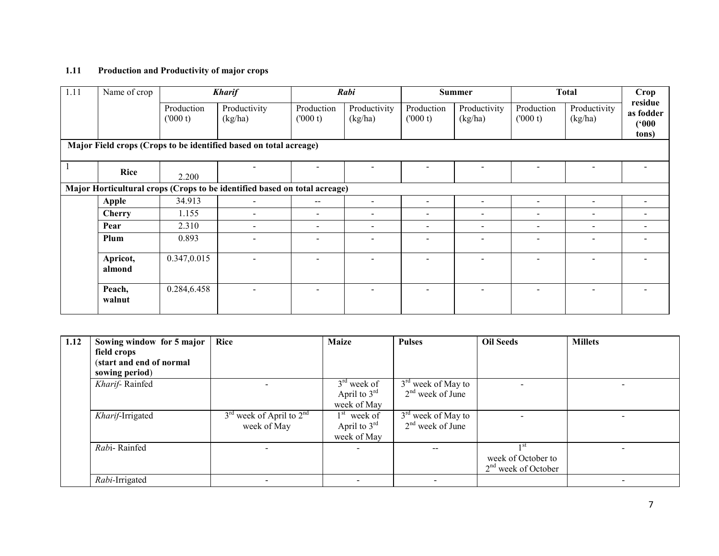#### 1.11 Production and Productivity of major crops

| 1.11 | Name of crop       |                       | <b>Kharif</b>                                                             |                              | Rabi                     |                          | <b>Summer</b>            |                          | <b>Total</b>             | Crop                                   |
|------|--------------------|-----------------------|---------------------------------------------------------------------------|------------------------------|--------------------------|--------------------------|--------------------------|--------------------------|--------------------------|----------------------------------------|
|      |                    | Production<br>(000 t) | Productivity<br>(kg/ha)                                                   | Production<br>(000 t)        | Productivity<br>(kg/ha)  | Production<br>(000 t)    | Productivity<br>(kg/ha)  | Production<br>(000 t)    | Productivity<br>(kg/ha)  | residue<br>as fodder<br>(000)<br>tons) |
|      |                    |                       | Major Field crops (Crops to be identified based on total acreage)         |                              |                          |                          |                          |                          |                          |                                        |
|      | <b>Rice</b>        | 2.200                 |                                                                           |                              |                          |                          |                          |                          |                          |                                        |
|      |                    |                       | Major Horticultural crops (Crops to be identified based on total acreage) |                              |                          |                          |                          |                          |                          |                                        |
|      | <b>Apple</b>       | 34.913                | $\overline{\phantom{a}}$                                                  | $\overline{\phantom{m}}$     | $\overline{\phantom{a}}$ | $\overline{\phantom{a}}$ | $\overline{\phantom{a}}$ | $\overline{\phantom{a}}$ |                          | $\overline{\phantom{a}}$               |
|      | <b>Cherry</b>      | 1.155                 | $\overline{\phantom{0}}$                                                  | -                            | $\overline{\phantom{a}}$ | $\overline{\phantom{a}}$ | $\overline{\phantom{a}}$ | $\overline{\phantom{a}}$ | $\,$                     | $\overline{\phantom{a}}$               |
|      | Pear               | 2.310                 | $\overline{\phantom{0}}$                                                  | $\overline{\phantom{0}}$     | $\overline{\phantom{a}}$ | $\overline{\phantom{a}}$ | $\overline{\phantom{a}}$ | $\blacksquare$           |                          |                                        |
|      | Plum               | 0.893                 |                                                                           | $\qquad \qquad \blacksquare$ | $\overline{\phantom{a}}$ | $\overline{\phantom{a}}$ | $\overline{\phantom{a}}$ | $\overline{\phantom{0}}$ | $\overline{\phantom{a}}$ | $\overline{\phantom{0}}$               |
|      | Apricot,<br>almond | 0.347,0.015           |                                                                           |                              |                          |                          |                          |                          |                          |                                        |
|      | Peach,<br>walnut   | 0.284,6.458           |                                                                           |                              |                          |                          |                          |                          |                          |                                        |

| 1.12 | Sowing window for 5 major | <b>Rice</b>                  | <b>Maize</b>   | <b>Pulses</b>            | <b>Oil Seeds</b>      | <b>Millets</b> |
|------|---------------------------|------------------------------|----------------|--------------------------|-----------------------|----------------|
|      | field crops               |                              |                |                          |                       |                |
|      | (start and end of normal  |                              |                |                          |                       |                |
|      | sowing period)            |                              |                |                          |                       |                |
|      | Kharif-Rainfed            |                              | $3rd$ week of  | $3rd$ week of May to     |                       |                |
|      |                           |                              | April to $3rd$ | $2nd$ week of June       |                       |                |
|      |                           |                              | week of May    |                          |                       |                |
|      | Kharif-Irrigated          | $3rd$ week of April to $2nd$ | $1st$ week of  | $3rd$ week of May to     |                       |                |
|      |                           | week of May                  | April to $3rd$ | $2nd$ week of June       |                       |                |
|      |                           |                              | week of May    |                          |                       |                |
|      | Rabi-Rainfed              |                              |                | --                       |                       |                |
|      |                           |                              |                |                          | week of October to    |                |
|      |                           |                              |                |                          | $2nd$ week of October |                |
|      | Rabi-Irrigated            |                              |                | $\overline{\phantom{a}}$ |                       |                |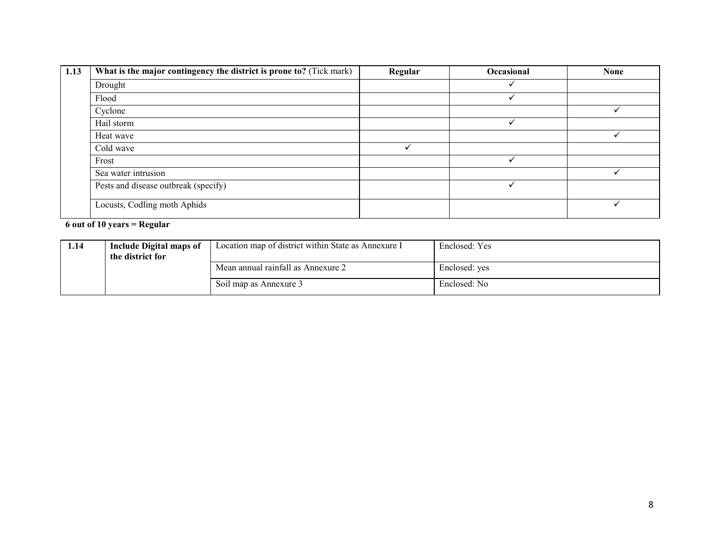| 1.13 | What is the major contingency the district is prone to? (Tick mark) | Regular | Occasional | <b>None</b> |
|------|---------------------------------------------------------------------|---------|------------|-------------|
|      | Drought                                                             |         |            |             |
|      | Flood                                                               |         |            |             |
|      | Cyclone                                                             |         |            |             |
|      | Hail storm                                                          |         | ✓          |             |
|      | Heat wave                                                           |         |            |             |
|      | Cold wave                                                           |         |            |             |
|      | Frost                                                               |         |            |             |
|      | Sea water intrusion                                                 |         |            |             |
|      | Pests and disease outbreak (specify)                                |         |            |             |
|      | Locusts, Codling moth Aphids                                        |         |            |             |

### 6 out of 10 years = Regular

| 1.14 | Include Digital maps of<br>the district for | Location map of district within State as Annexure I | Enclosed: Yes |
|------|---------------------------------------------|-----------------------------------------------------|---------------|
|      |                                             | Mean annual rainfall as Annexure 2                  | Enclosed: yes |
|      |                                             | Soil map as Annexure 3                              | Enclosed: No  |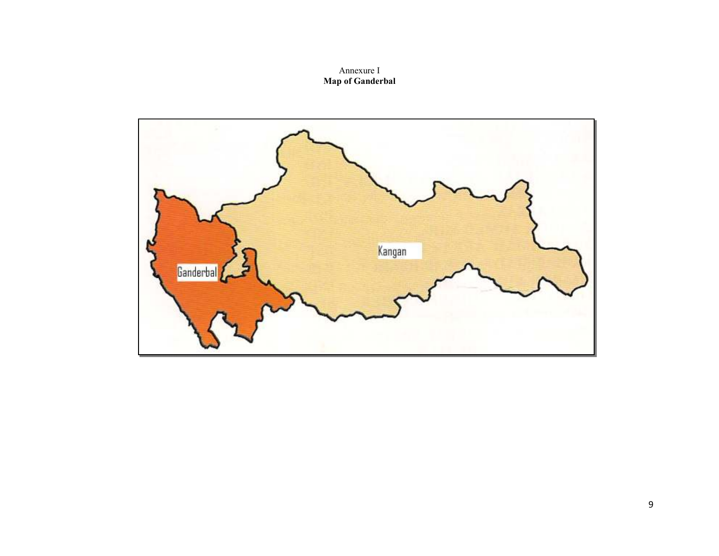# Annexure I Map of Ganderbal

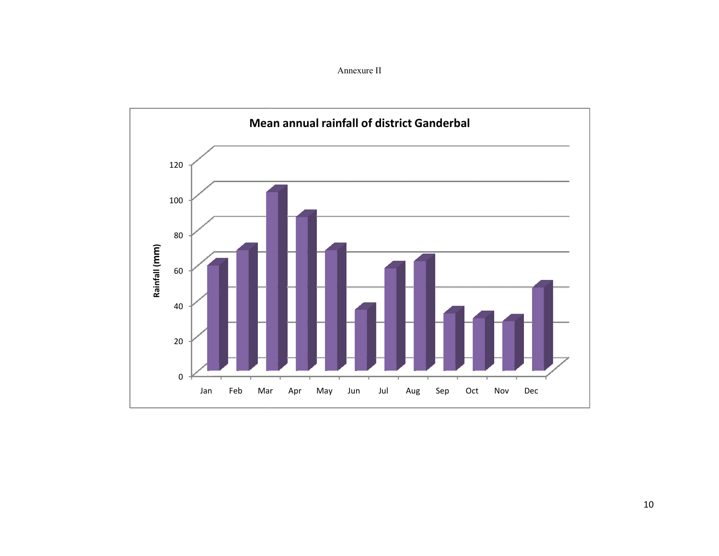Annexure II

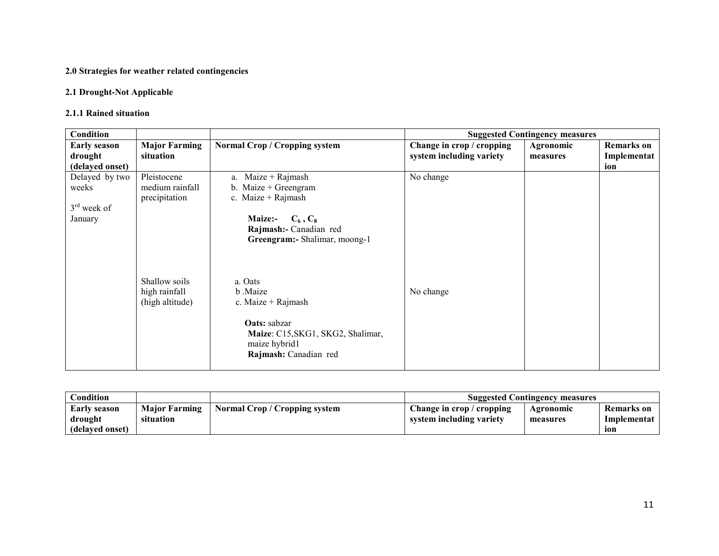#### 2.0 Strategies for weather related contingencies

#### 2.1 Drought-Not Applicable

#### 2.1.1 Rained situation

| Condition           |                                                   |                                                                                                                                                   |                           | <b>Suggested Contingency measures</b> |                   |
|---------------------|---------------------------------------------------|---------------------------------------------------------------------------------------------------------------------------------------------------|---------------------------|---------------------------------------|-------------------|
| <b>Early season</b> | <b>Major Farming</b>                              | Normal Crop / Cropping system                                                                                                                     | Change in crop / cropping | Agronomic                             | <b>Remarks</b> on |
| drought             | situation                                         |                                                                                                                                                   | system including variety  | measures                              | Implementat       |
| (delayed onset)     |                                                   |                                                                                                                                                   |                           |                                       | ion               |
| Delayed by two      | Pleistocene                                       | $Maize + Rajmask$<br>a.                                                                                                                           | No change                 |                                       |                   |
| weeks               | medium rainfall                                   | b. Maize $+$ Greengram                                                                                                                            |                           |                                       |                   |
|                     | precipitation                                     | c. Maize + Rajmash                                                                                                                                |                           |                                       |                   |
| $3rd$ week of       |                                                   |                                                                                                                                                   |                           |                                       |                   |
| January             |                                                   | $C_6, C_8$<br><b>Maize:-</b>                                                                                                                      |                           |                                       |                   |
|                     |                                                   | Rajmash:- Canadian red                                                                                                                            |                           |                                       |                   |
|                     |                                                   | Greengram:- Shalimar, moong-1                                                                                                                     |                           |                                       |                   |
|                     | Shallow soils<br>high rainfall<br>(high altitude) | a. Oats<br>b .Maize<br>c. Maize $+$ Rajmash<br><b>Oats:</b> sabzar<br>Maize: C15, SKG1, SKG2, Shalimar,<br>maize hybrid1<br>Rajmash: Canadian red | No change                 |                                       |                   |

| <b>Condition</b>    |                      |                               | <b>Suggested Contingency measures</b> |           |             |
|---------------------|----------------------|-------------------------------|---------------------------------------|-----------|-------------|
| <b>Early season</b> | <b>Maior Farming</b> | Normal Crop / Cropping system | Change in crop / cropping             | Agronomic | Remarks on  |
| drought             | situation            |                               | system including variety              | measures  | Implementat |
| (delayed onset)     |                      |                               |                                       |           | 10n         |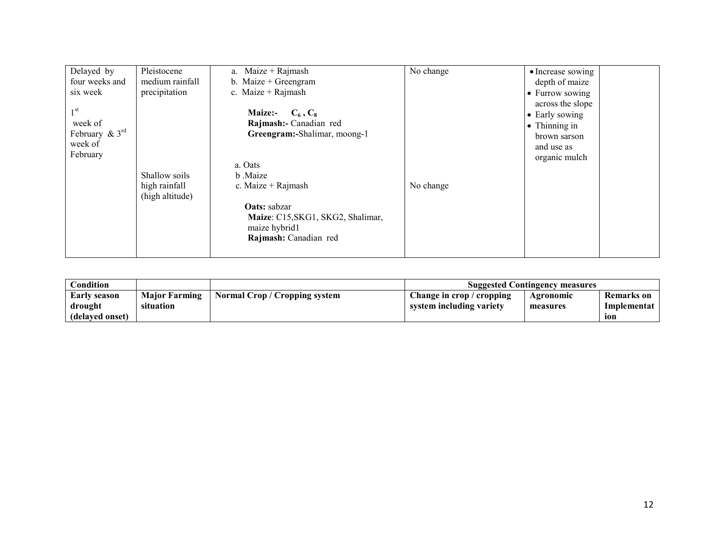| Delayed by                  | Pleistocene     | $Maize + Rajmask$<br>a.           | No change | • Increase sowing     |
|-----------------------------|-----------------|-----------------------------------|-----------|-----------------------|
| four weeks and              | medium rainfall | b. Maize $+$ Greengram            |           | depth of maize        |
| six week                    | precipitation   | c. Maize + Rajmash                |           | • Furrow sowing       |
|                             |                 |                                   |           | across the slope      |
| 1 <sup>st</sup>             |                 | Maize:- $C_6, C_8$                |           | • Early sowing        |
| week of                     |                 | Rajmash:- Canadian red            |           | $\bullet$ Thinning in |
| February $\& 3^{\text{rd}}$ |                 | Greengram:-Shalimar, moong-1      |           | brown sarson          |
| week of                     |                 |                                   |           | and use as            |
| February                    |                 |                                   |           | organic mulch         |
|                             |                 | a. Oats                           |           |                       |
|                             | Shallow soils   | b Maize                           |           |                       |
|                             | high rainfall   | c. Maize + Rajmash                | No change |                       |
|                             | (high altitude) |                                   |           |                       |
|                             |                 | Oats: sabzar                      |           |                       |
|                             |                 | Maize: C15, SKG1, SKG2, Shalimar, |           |                       |
|                             |                 | maize hybrid1                     |           |                       |
|                             |                 | Rajmash: Canadian red             |           |                       |
|                             |                 |                                   |           |                       |

| Condition       |                      |                               | <b>Suggested Contingency measures</b> |           |             |
|-----------------|----------------------|-------------------------------|---------------------------------------|-----------|-------------|
| Early season    | <b>Major Farming</b> | Normal Crop / Cropping system | Change in crop / cropping             | Agronomic | Remarks on  |
| drought         | situation            |                               | system including variety              | measures  | Implementat |
| (delayed onset) |                      |                               |                                       |           | ion         |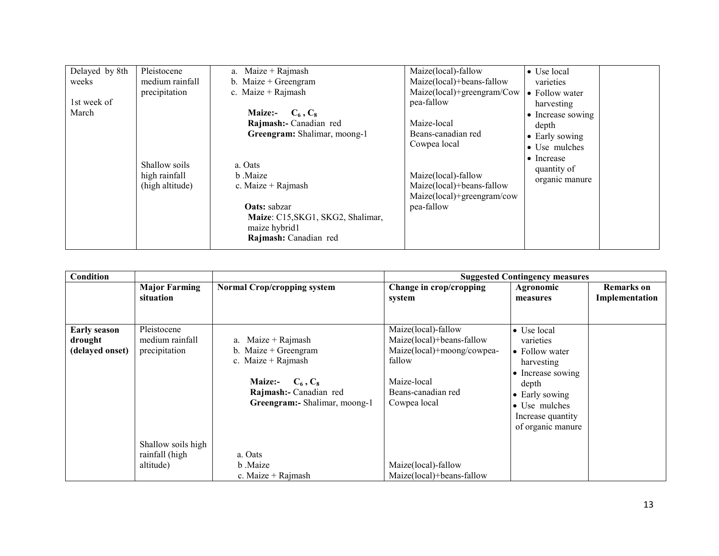| Delayed by 8th | Pleistocene     | a. Maize + Rajmash                | Maize(local)-fallow        | • Use local        |
|----------------|-----------------|-----------------------------------|----------------------------|--------------------|
| weeks          | medium rainfall | b. Maize $+$ Greengram            | Maize(local)+beans-fallow  | varieties          |
|                | precipitation   | c. Maize + Rajmash                | Maize(local)+greengram/Cow | • Follow water     |
| 1st week of    |                 |                                   | pea-fallow                 | harvesting         |
| March          |                 | <b>Maize:-</b><br>$C_6, C_8$      |                            | • Increase sowing  |
|                |                 | Rajmash:- Canadian red            | Maize-local                | depth              |
|                |                 | Greengram: Shalimar, moong-1      | Beans-canadian red         | • Early sowing     |
|                |                 |                                   | Cowpea local               | • Use mulches      |
|                |                 |                                   |                            | $\bullet$ Increase |
|                | Shallow soils   | a. Oats                           |                            | quantity of        |
|                | high rainfall   | b Maize                           | Maize(local)-fallow        | organic manure     |
|                | (high altitude) | c. Maize + Rajmash                | Maize(local)+beans-fallow  |                    |
|                |                 |                                   | Maize(local)+greengram/cow |                    |
|                |                 | <b>Oats:</b> sabzar               | pea-fallow                 |                    |
|                |                 | Maize: C15, SKG1, SKG2, Shalimar, |                            |                    |
|                |                 | maize hybrid1                     |                            |                    |
|                |                 | Rajmash: Canadian red             |                            |                    |

| Condition                                         |                                                   |                                                                                                                                                                       |                                                                                                                                               | <b>Suggested Contingency measures</b>                                                                                                                                               |                                     |
|---------------------------------------------------|---------------------------------------------------|-----------------------------------------------------------------------------------------------------------------------------------------------------------------------|-----------------------------------------------------------------------------------------------------------------------------------------------|-------------------------------------------------------------------------------------------------------------------------------------------------------------------------------------|-------------------------------------|
|                                                   | <b>Major Farming</b><br>situation                 | <b>Normal Crop/cropping system</b>                                                                                                                                    | Change in crop/cropping<br>system                                                                                                             | Agronomic<br>measures                                                                                                                                                               | <b>Remarks</b> on<br>Implementation |
| <b>Early season</b><br>drought<br>(delayed onset) | Pleistocene<br>medium rainfall<br>precipitation   | Maize $+$ Rajmash<br>a.<br>b. Maize $+$ Greengram<br>c. Maize + Rajmash<br><b>Maize:-</b><br>$C_6$ , $C_8$<br>Rajmash:- Canadian red<br>Greengram:- Shalimar, moong-1 | Maize(local)-fallow<br>Maize(local)+beans-fallow<br>Maize(local)+moong/cowpea-<br>fallow<br>Maize-local<br>Beans-canadian red<br>Cowpea local | $\bullet$ Use local<br>varieties<br>• Follow water<br>harvesting<br>• Increase sowing<br>depth<br>$\bullet$ Early sowing<br>• Use mulches<br>Increase quantity<br>of organic manure |                                     |
|                                                   | Shallow soils high<br>rainfall (high<br>altitude) | a. Oats<br>b Maize<br>c. Maize $+$ Rajmash                                                                                                                            | Maize(local)-fallow<br>Maize(local)+beans-fallow                                                                                              |                                                                                                                                                                                     |                                     |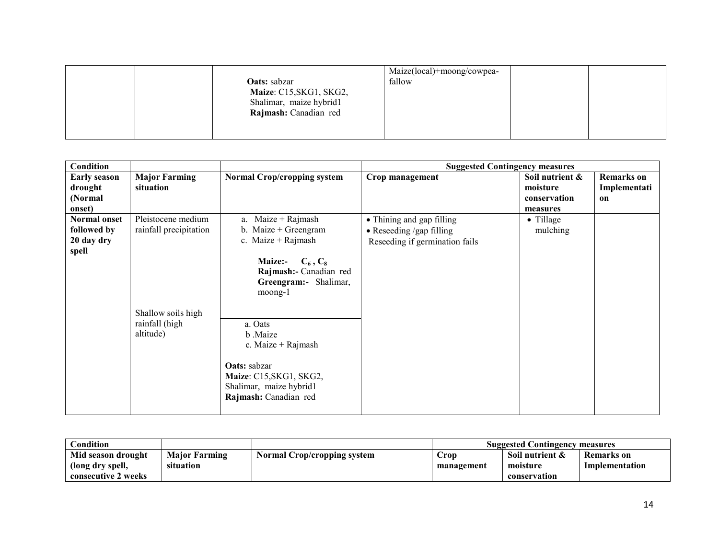|                         | Maize(local)+moong/cowpea- |  |
|-------------------------|----------------------------|--|
| <b>Oats:</b> sabzar     | fallow                     |  |
| Maize: C15, SKG1, SKG2, |                            |  |
| Shalimar, maize hybrid1 |                            |  |
| Rajmash: Canadian red   |                            |  |
|                         |                            |  |
|                         |                            |  |

| <b>Condition</b>                                    |                                                                    |                                                                                                                                                                  | <b>Suggested Contingency measures</b>                                                           |                                                         |                                         |
|-----------------------------------------------------|--------------------------------------------------------------------|------------------------------------------------------------------------------------------------------------------------------------------------------------------|-------------------------------------------------------------------------------------------------|---------------------------------------------------------|-----------------------------------------|
| <b>Early season</b><br>drought<br>(Normal<br>onset) | <b>Major Farming</b><br>situation                                  | <b>Normal Crop/cropping system</b>                                                                                                                               | Crop management                                                                                 | Soil nutrient &<br>moisture<br>conservation<br>measures | <b>Remarks</b> on<br>Implementati<br>on |
| Normal onset<br>followed by<br>20 day dry<br>spell  | Pleistocene medium<br>rainfall precipitation<br>Shallow soils high | a. Maize + Rajmash<br>b. Maize $+$ Greengram<br>c. Maize + Rajmash<br>$C_6, C_8$<br><b>Maize:-</b><br>Rajmash:- Canadian red<br>Greengram:- Shalimar,<br>moong-1 | • Thining and gap filling<br>$\bullet$ Reseeding /gap filling<br>Reseeding if germination fails | $\bullet$ Tillage<br>mulching                           |                                         |
|                                                     | rainfall (high<br>altitude)                                        | a. Oats<br>b .Maize<br>c. Maize + Rajmash<br>Oats: sabzar<br>Maize: C15, SKG1, SKG2,<br>Shalimar, maize hybrid1<br>Rajmash: Canadian red                         |                                                                                                 |                                                         |                                         |

| Condition           |                      |                             | <b>Suggested Contingency measures</b> |                 |                |
|---------------------|----------------------|-----------------------------|---------------------------------------|-----------------|----------------|
| Mid season drought  | <b>Maior Farming</b> | Normal Crop/cropping system | Crop                                  | Soil nutrient & | Remarks on     |
| (long dry spell,    | situation            |                             | management                            | moisture        | Implementation |
| consecutive 2 weeks |                      |                             |                                       | conservation    |                |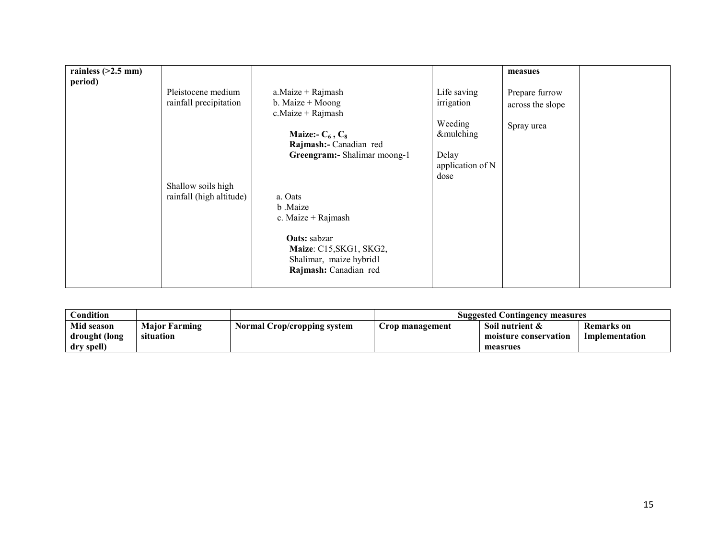| rainless $(>2.5$ mm)<br>period) |                          |                                                                                             |                           | measues          |  |
|---------------------------------|--------------------------|---------------------------------------------------------------------------------------------|---------------------------|------------------|--|
|                                 | Pleistocene medium       | $a.Maize + Rajmash$                                                                         | Life saving               | Prepare furrow   |  |
|                                 | rainfall precipitation   | b. Maize $+$ Moong<br>c.Maize + Rajmash                                                     | irrigation                | across the slope |  |
|                                 |                          | Maize:- $C_6$ , $C_8$                                                                       | Weeding<br>&mulching      | Spray urea       |  |
|                                 |                          | Rajmash:- Canadian red                                                                      |                           |                  |  |
|                                 |                          | Greengram:- Shalimar moong-1                                                                | Delay<br>application of N |                  |  |
|                                 | Shallow soils high       |                                                                                             | dose                      |                  |  |
|                                 | rainfall (high altitude) | a. Oats<br>b .Maize                                                                         |                           |                  |  |
|                                 |                          | c. Maize $+$ Rajmash                                                                        |                           |                  |  |
|                                 |                          | Oats: sabzar<br>Maize: C15, SKG1, SKG2,<br>Shalimar, maize hybrid1<br>Rajmash: Canadian red |                           |                  |  |

| Condition     |                      |                             | <b>Suggested Contingency measures</b> |                       |                   |
|---------------|----------------------|-----------------------------|---------------------------------------|-----------------------|-------------------|
| Mid season    | <b>Major Farming</b> | Normal Crop/cropping system | Crop management                       | Soil nutrient &       | <b>Remarks</b> on |
| drought (long | situation            |                             |                                       | moisture conservation | Implementation    |
| dry spell)    |                      |                             |                                       | measrues              |                   |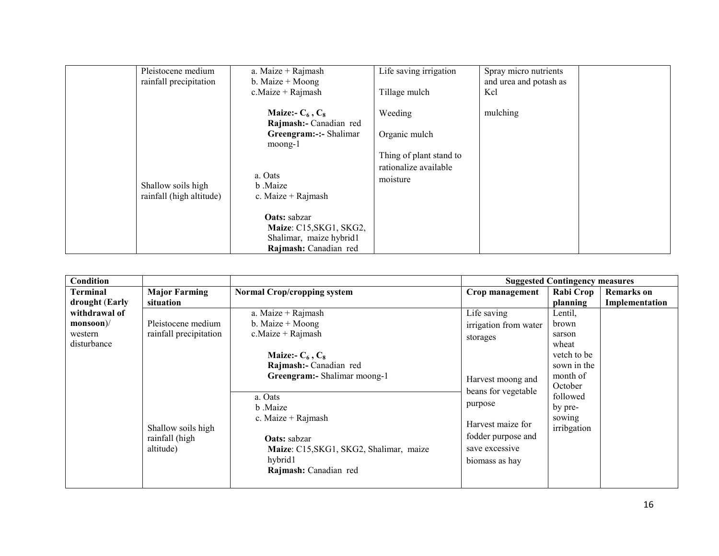| Pleistocene medium<br>rainfall precipitation   | a. Maize + Rajmash<br>b. Maize $+$ Moong<br>$c$ . Maize + Rajmash                                                                                                                                                                        | Life saving irrigation<br>Tillage mulch                                                  | Spray micro nutrients<br>and urea and potash as<br>Kcl |
|------------------------------------------------|------------------------------------------------------------------------------------------------------------------------------------------------------------------------------------------------------------------------------------------|------------------------------------------------------------------------------------------|--------------------------------------------------------|
| Shallow soils high<br>rainfall (high altitude) | Maize:- $C_6$ , $C_8$<br>Rajmash:- Canadian red<br>Greengram:-:- Shalimar<br>moong-1<br>a. Oats<br>b Maize<br>c. Maize $+$ Rajmash<br><b>Oats:</b> sabzar<br>Maize: C15, SKG1, SKG2,<br>Shalimar, maize hybrid1<br>Rajmash: Canadian red | Weeding<br>Organic mulch<br>Thing of plant stand to<br>rationalize available<br>moisture | mulching                                               |

| Condition                                                  |                                                           |                                                                                                                               |                                                                             | <b>Suggested Contingency measures</b>                                                       |                |
|------------------------------------------------------------|-----------------------------------------------------------|-------------------------------------------------------------------------------------------------------------------------------|-----------------------------------------------------------------------------|---------------------------------------------------------------------------------------------|----------------|
| Terminal                                                   | <b>Major Farming</b>                                      | <b>Normal Crop/cropping system</b>                                                                                            | Crop management                                                             | Rabi Crop                                                                                   | Remarks on     |
| drought (Early<br>withdrawal of<br>$monsoon$ //<br>western | situation<br>Pleistocene medium<br>rainfall precipitation | a. Maize + Rajmash<br>b. Maize $+$ Moong<br>$c$ . Maize + Rajmash                                                             | Life saving<br>irrigation from water                                        | planning<br>Lentil,<br>brown<br>sarson                                                      | Implementation |
| disturbance                                                |                                                           | Maize:- $C_6$ , $C_8$<br>Rajmash:- Canadian red<br>Greengram:- Shalimar moong-1<br>a. Oats<br>b Maize<br>c. Maize $+$ Rajmash | storages<br>Harvest moong and<br>beans for vegetable<br>purpose             | wheat<br>vetch to be<br>sown in the<br>month of<br>October<br>followed<br>by pre-<br>sowing |                |
|                                                            | Shallow soils high<br>rainfall (high<br>altitude)         | <b>Oats:</b> sabzar<br>Maize: C15, SKG1, SKG2, Shalimar, maize<br>hybrid1<br>Rajmash: Canadian red                            | Harvest maize for<br>fodder purpose and<br>save excessive<br>biomass as hay | irribgation                                                                                 |                |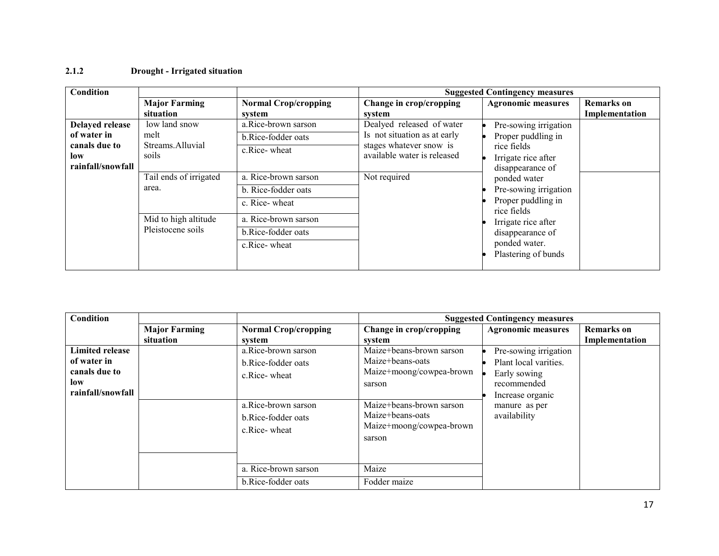### 2.1.2 Drought - Irrigated situation

| Condition                                                                          |                                                                                                                                     |                                                                                                                                                                                         |                                                                                                                                     | <b>Suggested Contingency measures</b>                                                                                                                                                                                                                                  |                                     |
|------------------------------------------------------------------------------------|-------------------------------------------------------------------------------------------------------------------------------------|-----------------------------------------------------------------------------------------------------------------------------------------------------------------------------------------|-------------------------------------------------------------------------------------------------------------------------------------|------------------------------------------------------------------------------------------------------------------------------------------------------------------------------------------------------------------------------------------------------------------------|-------------------------------------|
|                                                                                    | <b>Major Farming</b><br>situation                                                                                                   | <b>Normal Crop/cropping</b><br>system                                                                                                                                                   | Change in crop/cropping<br>system                                                                                                   | <b>Agronomic measures</b>                                                                                                                                                                                                                                              | <b>Remarks</b> on<br>Implementation |
| <b>Delayed release</b><br>of water in<br>canals due to<br>low<br>rainfall/snowfall | low land snow<br>melt<br>Streams. Alluvial<br>soils<br>Tail ends of irrigated<br>area.<br>Mid to high altitude<br>Pleistocene soils | a.Rice-brown sarson<br>b.Rice-fodder oats<br>c.Rice-wheat<br>a. Rice-brown sarson<br>b. Rice-fodder oats<br>c. Rice-wheat<br>a. Rice-brown sarson<br>b.Rice-fodder oats<br>c.Rice-wheat | Dealyed released of water<br>Is not situation as at early<br>stages whatever snow is<br>available water is released<br>Not required | Pre-sowing irrigation<br>Proper puddling in<br>rice fields<br>Irrigate rice after<br>disappearance of<br>ponded water<br>Pre-sowing irrigation<br>Proper puddling in<br>rice fields<br>Irrigate rice after<br>disappearance of<br>ponded water.<br>Plastering of bunds |                                     |

| Condition                                                     |                      |                                                           |                                                                                    | <b>Suggested Contingency measures</b>                                         |                   |
|---------------------------------------------------------------|----------------------|-----------------------------------------------------------|------------------------------------------------------------------------------------|-------------------------------------------------------------------------------|-------------------|
|                                                               | <b>Major Farming</b> | <b>Normal Crop/cropping</b>                               | Change in crop/cropping                                                            | <b>Agronomic measures</b>                                                     | <b>Remarks</b> on |
|                                                               | situation            | system                                                    | system                                                                             |                                                                               | Implementation    |
| <b>Limited release</b><br>of water in<br>canals due to<br>low |                      | a.Rice-brown sarson<br>b.Rice-fodder oats<br>c.Rice-wheat | Maize+beans-brown sarson<br>Maize+beans-oats<br>Maize+moong/cowpea-brown<br>sarson | Pre-sowing irrigation<br>Plant local varities.<br>Early sowing<br>recommended |                   |
| rainfall/snowfall                                             |                      | a.Rice-brown sarson<br>b.Rice-fodder oats<br>c.Rice-wheat | Maize+beans-brown sarson<br>Maize+beans-oats<br>Maize+moong/cowpea-brown<br>sarson | Increase organic<br>manure as per<br>availability                             |                   |
|                                                               |                      | a. Rice-brown sarson<br>b.Rice-fodder oats                | Maize<br>Fodder maize                                                              |                                                                               |                   |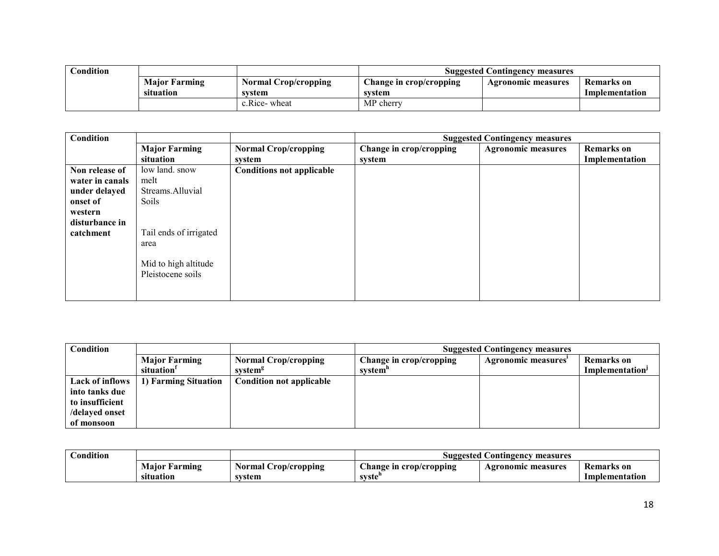| Condition |                      |                             | <b>Suggested Contingency measures</b> |                           |                |  |
|-----------|----------------------|-----------------------------|---------------------------------------|---------------------------|----------------|--|
|           | <b>Major Farming</b> | <b>Normal Crop/cropping</b> | Change in crop/cropping               | <b>Agronomic measures</b> | Remarks on     |  |
|           | situation            | svstem                      | system                                |                           | Implementation |  |
|           |                      | c.Rice-wheat                | MP cherry                             |                           |                |  |

| <b>Condition</b> |                        |                                  |                         | <b>Suggested Contingency measures</b> |                   |
|------------------|------------------------|----------------------------------|-------------------------|---------------------------------------|-------------------|
|                  | <b>Major Farming</b>   | <b>Normal Crop/cropping</b>      | Change in crop/cropping | <b>Agronomic measures</b>             | <b>Remarks</b> on |
|                  | situation              | system                           | system                  |                                       | Implementation    |
| Non release of   | low land. snow         | <b>Conditions not applicable</b> |                         |                                       |                   |
| water in canals  | melt                   |                                  |                         |                                       |                   |
| under delayed    | Streams.Alluvial       |                                  |                         |                                       |                   |
| onset of         | Soils                  |                                  |                         |                                       |                   |
| western          |                        |                                  |                         |                                       |                   |
| disturbance in   |                        |                                  |                         |                                       |                   |
| catchment        | Tail ends of irrigated |                                  |                         |                                       |                   |
|                  | area                   |                                  |                         |                                       |                   |
|                  |                        |                                  |                         |                                       |                   |
|                  | Mid to high altitude   |                                  |                         |                                       |                   |
|                  | Pleistocene soils      |                                  |                         |                                       |                   |
|                  |                        |                                  |                         |                                       |                   |
|                  |                        |                                  |                         |                                       |                   |

| <b>Condition</b> |                        |                                 | <b>Suggested Contingency measures</b> |                    |                             |  |
|------------------|------------------------|---------------------------------|---------------------------------------|--------------------|-----------------------------|--|
|                  | <b>Major Farming</b>   | <b>Normal Crop/cropping</b>     | Change in crop/cropping               | Agronomic measures | <b>Remarks</b> on           |  |
|                  | situation <sup>1</sup> | system <sup>g</sup>             | system"                               |                    | Implementation <sup>J</sup> |  |
| Lack of inflows  | 1) Farming Situation   | <b>Condition not applicable</b> |                                       |                    |                             |  |
| into tanks due   |                        |                                 |                                       |                    |                             |  |
| to insufficient  |                        |                                 |                                       |                    |                             |  |
| /delayed onset   |                        |                                 |                                       |                    |                             |  |
| of monsoon       |                        |                                 |                                       |                    |                             |  |

| condition_ |                               |                                   | Suggested Contingency measures     |                    |                                     |  |
|------------|-------------------------------|-----------------------------------|------------------------------------|--------------------|-------------------------------------|--|
|            | Maior<br>Farming<br>situation | Crop/cropping<br>Normal<br>system | hange in<br>erop/cropping<br>syste | Agronomic measures | <b>Remarks</b> on<br>Implementation |  |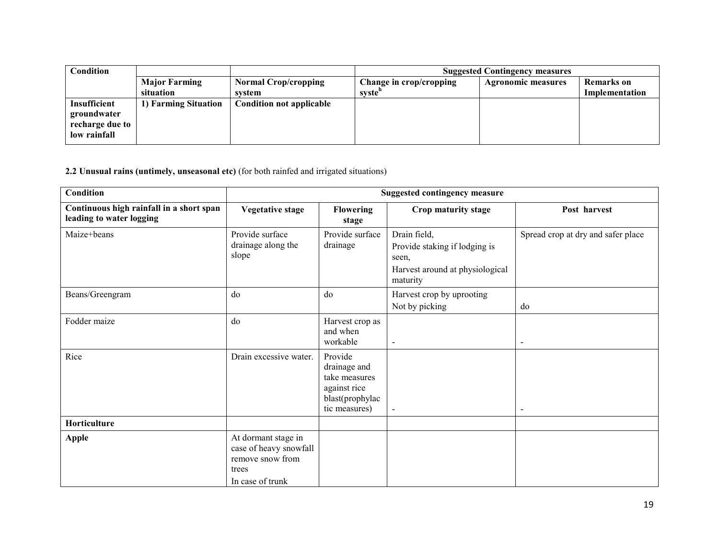| Condition       |                      |                                 | <b>Suggested Contingency measures</b> |                           |                   |  |
|-----------------|----------------------|---------------------------------|---------------------------------------|---------------------------|-------------------|--|
|                 | <b>Major Farming</b> | <b>Normal Crop/cropping</b>     | Change in crop/cropping               | <b>Agronomic measures</b> | <b>Remarks</b> on |  |
|                 | situation            | system                          | syste"                                |                           | Implementation    |  |
| Insufficient    | 1) Farming Situation | <b>Condition not applicable</b> |                                       |                           |                   |  |
| groundwater     |                      |                                 |                                       |                           |                   |  |
| recharge due to |                      |                                 |                                       |                           |                   |  |
| low rainfall    |                      |                                 |                                       |                           |                   |  |

2.2 Unusual rains (untimely, unseasonal etc) (for both rainfed and irrigated situations)

| <b>Condition</b>                                                     | <b>Suggested contingency measure</b>                                                           |                                                                                              |                                                                                                       |                                    |
|----------------------------------------------------------------------|------------------------------------------------------------------------------------------------|----------------------------------------------------------------------------------------------|-------------------------------------------------------------------------------------------------------|------------------------------------|
| Continuous high rainfall in a short span<br>leading to water logging | <b>Vegetative stage</b>                                                                        | <b>Flowering</b><br>stage                                                                    | Crop maturity stage                                                                                   | Post harvest                       |
| Maize+beans                                                          | Provide surface<br>drainage along the<br>slope                                                 | Provide surface<br>drainage                                                                  | Drain field,<br>Provide staking if lodging is<br>seen,<br>Harvest around at physiological<br>maturity | Spread crop at dry and safer place |
| Beans/Greengram                                                      | do                                                                                             | do                                                                                           | Harvest crop by uprooting<br>Not by picking                                                           | do                                 |
| Fodder maize                                                         | do                                                                                             | Harvest crop as<br>and when<br>workable                                                      | $\blacksquare$                                                                                        | $\blacksquare$                     |
| Rice                                                                 | Drain excessive water.                                                                         | Provide<br>drainage and<br>take measures<br>against rice<br>blast(prophylac<br>tic measures) | $\sim$                                                                                                | $\overline{a}$                     |
| Horticulture                                                         |                                                                                                |                                                                                              |                                                                                                       |                                    |
| <b>Apple</b>                                                         | At dormant stage in<br>case of heavy snowfall<br>remove snow from<br>trees<br>In case of trunk |                                                                                              |                                                                                                       |                                    |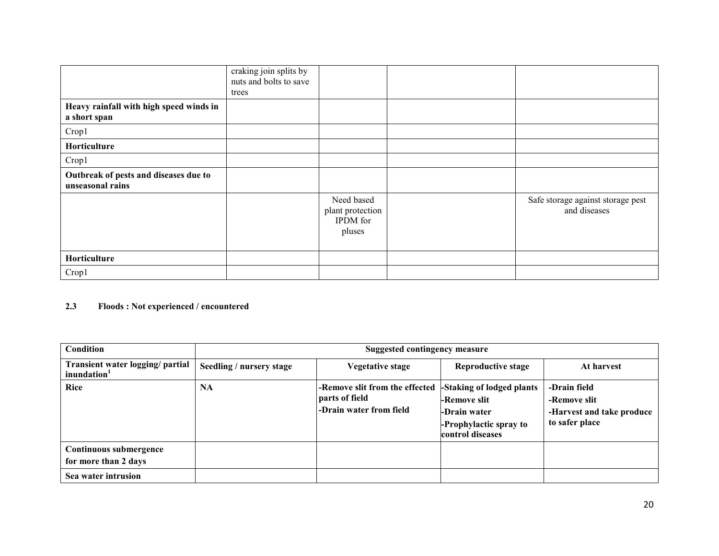|                                                           | craking join splits by<br>nuts and bolts to save |                                                      |                                                   |
|-----------------------------------------------------------|--------------------------------------------------|------------------------------------------------------|---------------------------------------------------|
|                                                           | trees                                            |                                                      |                                                   |
| Heavy rainfall with high speed winds in<br>a short span   |                                                  |                                                      |                                                   |
| Crop1                                                     |                                                  |                                                      |                                                   |
| Horticulture                                              |                                                  |                                                      |                                                   |
| Crop1                                                     |                                                  |                                                      |                                                   |
| Outbreak of pests and diseases due to<br>unseasonal rains |                                                  |                                                      |                                                   |
|                                                           |                                                  | Need based<br>plant protection<br>IPDM for<br>pluses | Safe storage against storage pest<br>and diseases |
| Horticulture                                              |                                                  |                                                      |                                                   |
| Crop1                                                     |                                                  |                                                      |                                                   |

#### 2.3 Floods : Not experienced / encountered

| <b>Condition</b>                                            | Suggested contingency measure |                                                                             |                                                                                                         |                                                                             |
|-------------------------------------------------------------|-------------------------------|-----------------------------------------------------------------------------|---------------------------------------------------------------------------------------------------------|-----------------------------------------------------------------------------|
| Transient water logging/ partial<br>inundation <sup>1</sup> | Seedling / nursery stage      | <b>Vegetative stage</b>                                                     | <b>Reproductive stage</b>                                                                               | At harvest                                                                  |
| <b>Rice</b>                                                 | <b>NA</b>                     | -Remove slit from the effected<br>parts of field<br>-Drain water from field | -Staking of lodged plants<br>-Remove slit<br>-Drain water<br>-Prophylactic spray to<br>control diseases | -Drain field<br>-Remove slit<br>-Harvest and take produce<br>to safer place |
| Continuous submergence<br>for more than 2 days              |                               |                                                                             |                                                                                                         |                                                                             |
| Sea water intrusion                                         |                               |                                                                             |                                                                                                         |                                                                             |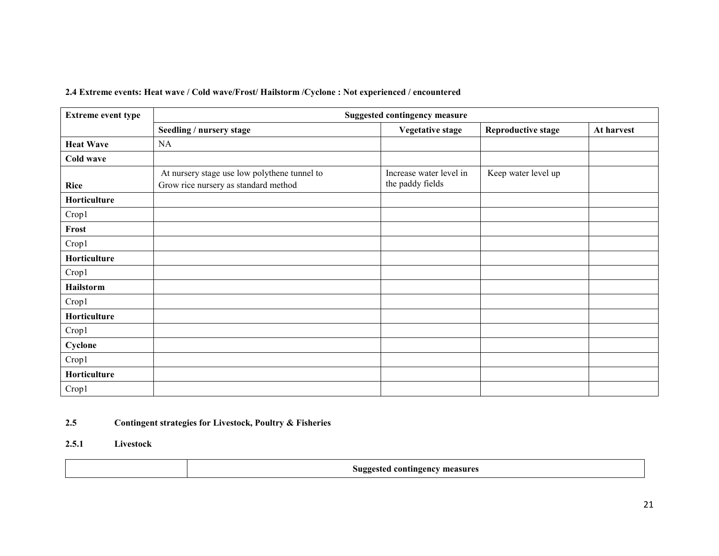| 2.4 Extreme events: Heat wave / Cold wave/Frost/ Hailstorm / Cyclone : Not experienced / encountered |  |  |
|------------------------------------------------------------------------------------------------------|--|--|
|                                                                                                      |  |  |

| <b>Extreme event type</b> | <b>Suggested contingency measure</b>         |                         |                           |            |  |  |
|---------------------------|----------------------------------------------|-------------------------|---------------------------|------------|--|--|
|                           | Seedling / nursery stage                     | <b>Vegetative stage</b> | <b>Reproductive stage</b> | At harvest |  |  |
| <b>Heat Wave</b>          | NA                                           |                         |                           |            |  |  |
| Cold wave                 |                                              |                         |                           |            |  |  |
|                           | At nursery stage use low polythene tunnel to | Increase water level in | Keep water level up       |            |  |  |
| Rice                      | Grow rice nursery as standard method         | the paddy fields        |                           |            |  |  |
| Horticulture              |                                              |                         |                           |            |  |  |
| Crop1                     |                                              |                         |                           |            |  |  |
| Frost                     |                                              |                         |                           |            |  |  |
| Crop1                     |                                              |                         |                           |            |  |  |
| Horticulture              |                                              |                         |                           |            |  |  |
| Crop1                     |                                              |                         |                           |            |  |  |
| Hailstorm                 |                                              |                         |                           |            |  |  |
| Crop1                     |                                              |                         |                           |            |  |  |
| Horticulture              |                                              |                         |                           |            |  |  |
| Crop1                     |                                              |                         |                           |            |  |  |
| Cyclone                   |                                              |                         |                           |            |  |  |
| Crop1                     |                                              |                         |                           |            |  |  |
| Horticulture              |                                              |                         |                           |            |  |  |
| Crop1                     |                                              |                         |                           |            |  |  |

#### 2.5Contingent strategies for Livestock, Poultry & Fisheries

#### 2.5.1 Livestock

| Suggested contingency measures<br>-கை |
|---------------------------------------|
|---------------------------------------|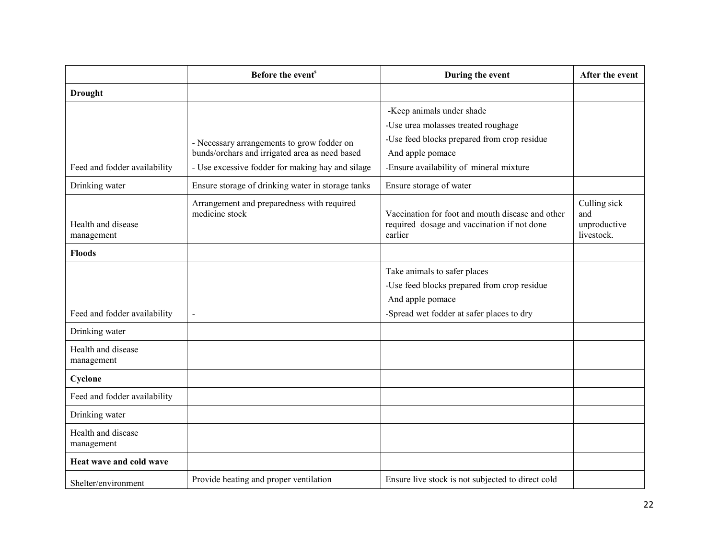|                                  | Before the event <sup>s</sup>                                                                                                                    | During the event                                                                                                                                                               | After the event                                   |
|----------------------------------|--------------------------------------------------------------------------------------------------------------------------------------------------|--------------------------------------------------------------------------------------------------------------------------------------------------------------------------------|---------------------------------------------------|
| <b>Drought</b>                   |                                                                                                                                                  |                                                                                                                                                                                |                                                   |
| Feed and fodder availability     | - Necessary arrangements to grow fodder on<br>bunds/orchars and irrigated area as need based<br>- Use excessive fodder for making hay and silage | -Keep animals under shade<br>-Use urea molasses treated roughage<br>-Use feed blocks prepared from crop residue<br>And apple pomace<br>-Ensure availability of mineral mixture |                                                   |
| Drinking water                   | Ensure storage of drinking water in storage tanks                                                                                                | Ensure storage of water                                                                                                                                                        |                                                   |
| Health and disease<br>management | Arrangement and preparedness with required<br>medicine stock                                                                                     | Vaccination for foot and mouth disease and other<br>required dosage and vaccination if not done<br>earlier                                                                     | Culling sick<br>and<br>unproductive<br>livestock. |
| <b>Floods</b>                    |                                                                                                                                                  |                                                                                                                                                                                |                                                   |
| Feed and fodder availability     | $\overline{a}$                                                                                                                                   | Take animals to safer places<br>-Use feed blocks prepared from crop residue<br>And apple pomace<br>-Spread wet fodder at safer places to dry                                   |                                                   |
| Drinking water                   |                                                                                                                                                  |                                                                                                                                                                                |                                                   |
| Health and disease<br>management |                                                                                                                                                  |                                                                                                                                                                                |                                                   |
| Cyclone                          |                                                                                                                                                  |                                                                                                                                                                                |                                                   |
| Feed and fodder availability     |                                                                                                                                                  |                                                                                                                                                                                |                                                   |
| Drinking water                   |                                                                                                                                                  |                                                                                                                                                                                |                                                   |
| Health and disease<br>management |                                                                                                                                                  |                                                                                                                                                                                |                                                   |
| Heat wave and cold wave          |                                                                                                                                                  |                                                                                                                                                                                |                                                   |
| Shelter/environment              | Provide heating and proper ventilation                                                                                                           | Ensure live stock is not subjected to direct cold                                                                                                                              |                                                   |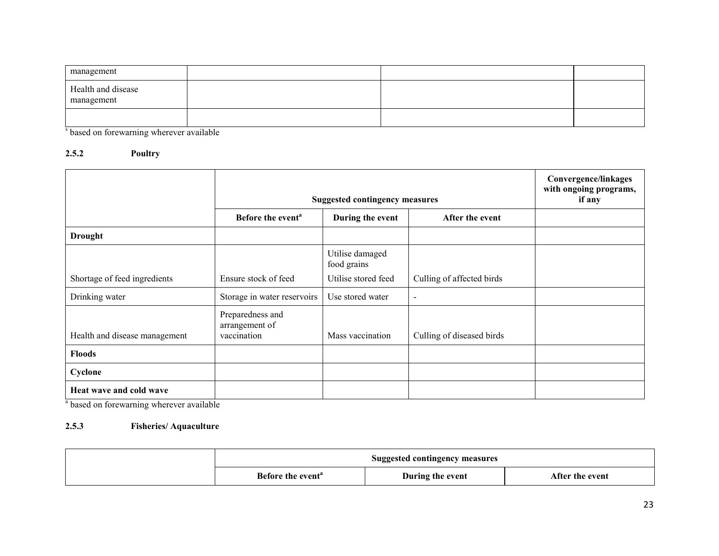| management                       |  |  |
|----------------------------------|--|--|
| Health and disease<br>management |  |  |
|                                  |  |  |

<sup>s</sup> based on forewarning wherever available

#### 2.5.2 Poultry

|                               | <b>Suggested contingency measures</b>             |                                |                           | Convergence/linkages<br>with ongoing programs,<br>if any |
|-------------------------------|---------------------------------------------------|--------------------------------|---------------------------|----------------------------------------------------------|
|                               | Before the event <sup>a</sup>                     | During the event               | After the event           |                                                          |
| <b>Drought</b>                |                                                   |                                |                           |                                                          |
|                               |                                                   | Utilise damaged<br>food grains |                           |                                                          |
| Shortage of feed ingredients  | Ensure stock of feed                              | Utilise stored feed            | Culling of affected birds |                                                          |
| Drinking water                | Storage in water reservoirs                       | Use stored water               | $\overline{\phantom{a}}$  |                                                          |
| Health and disease management | Preparedness and<br>arrangement of<br>vaccination | Mass vaccination               | Culling of diseased birds |                                                          |
| <b>Floods</b>                 |                                                   |                                |                           |                                                          |
| Cyclone                       |                                                   |                                |                           |                                                          |
| Heat wave and cold wave       |                                                   |                                |                           |                                                          |

<sup>a</sup> based on forewarning wherever available

#### 2.5.3 Fisheries/ Aquaculture

| <b>Suggested contingency measures</b> |                  |                 |  |
|---------------------------------------|------------------|-----------------|--|
| Before the event <sup>a</sup>         | During the event | After the event |  |